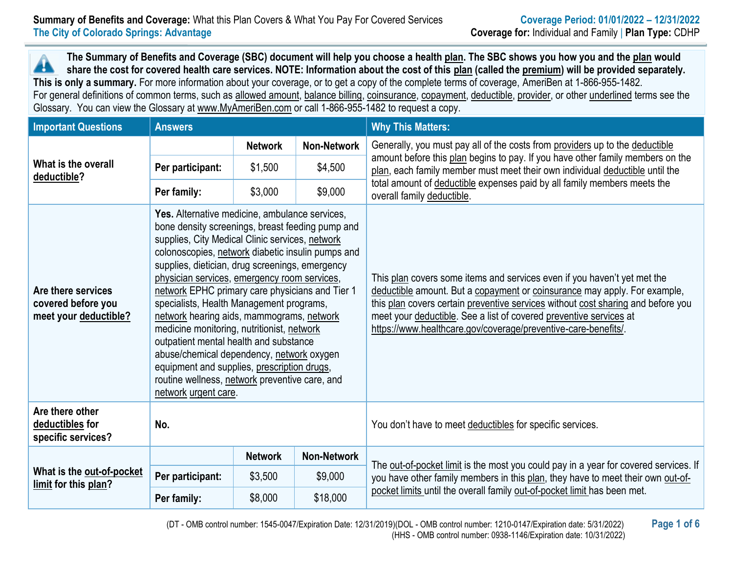**The Summary of Benefits and Coverage (SBC) document will help you choose a health [plan.](https://www.healthcare.gov/sbc-glossary/#plan) The SBC shows you how you and th[e plan](https://www.healthcare.gov/sbc-glossary/#plan) would**  Æ **share the cost for covered health care services. NOTE: Information about the cost of this [plan](https://www.healthcare.gov/sbc-glossary/#plan) (called the [premium\)](https://www.healthcare.gov/sbc-glossary/#premium) will be provided separately. This is only a summary.** For more information about your coverage, or to get a copy of the complete terms of coverage, AmeriBen at 1-866-955-1482. For general definitions of common terms, such as [allowed amount,](https://www.healthcare.gov/sbc-glossary/#allowed-amount) [balance billing,](https://www.healthcare.gov/sbc-glossary/#balance-billing) [coinsurance,](https://www.healthcare.gov/sbc-glossary/#coinsurance) [copayment,](https://www.healthcare.gov/sbc-glossary/#copayment) [deductible,](https://www.healthcare.gov/sbc-glossary/#deductible) [provider,](https://www.healthcare.gov/sbc-glossary/#provider) or other underlined terms see the Glossary. You can view the Glossary at [www.MyAmeriBen.com](http://www.myameriben.com/) or call 1-866-955-1482 to request a copy.

| <b>Important Questions</b>                                        | <b>Answers</b>                                                                                                                                                                                                                                                                                                                                                                                                                                                                                                                                                                                                                                                                                                          |                |                    | <b>Why This Matters:</b>                                                                                                                                                                                                                                                                                                                                                          |  |  |  |
|-------------------------------------------------------------------|-------------------------------------------------------------------------------------------------------------------------------------------------------------------------------------------------------------------------------------------------------------------------------------------------------------------------------------------------------------------------------------------------------------------------------------------------------------------------------------------------------------------------------------------------------------------------------------------------------------------------------------------------------------------------------------------------------------------------|----------------|--------------------|-----------------------------------------------------------------------------------------------------------------------------------------------------------------------------------------------------------------------------------------------------------------------------------------------------------------------------------------------------------------------------------|--|--|--|
|                                                                   |                                                                                                                                                                                                                                                                                                                                                                                                                                                                                                                                                                                                                                                                                                                         | <b>Network</b> | <b>Non-Network</b> | Generally, you must pay all of the costs from providers up to the deductible<br>amount before this plan begins to pay. If you have other family members on the                                                                                                                                                                                                                    |  |  |  |
| What is the overall<br>deductible?                                | Per participant:                                                                                                                                                                                                                                                                                                                                                                                                                                                                                                                                                                                                                                                                                                        | \$1,500        | \$4,500            | plan, each family member must meet their own individual deductible until the                                                                                                                                                                                                                                                                                                      |  |  |  |
|                                                                   | Per family:                                                                                                                                                                                                                                                                                                                                                                                                                                                                                                                                                                                                                                                                                                             | \$3,000        | \$9,000            | total amount of deductible expenses paid by all family members meets the<br>overall family deductible.                                                                                                                                                                                                                                                                            |  |  |  |
| Are there services<br>covered before you<br>meet your deductible? | Yes. Alternative medicine, ambulance services,<br>bone density screenings, breast feeding pump and<br>supplies, City Medical Clinic services, network<br>colonoscopies, network diabetic insulin pumps and<br>supplies, dietician, drug screenings, emergency<br>physician services, emergency room services,<br>network EPHC primary care physicians and Tier 1<br>specialists, Health Management programs,<br>network hearing aids, mammograms, network<br>medicine monitoring, nutritionist, network<br>outpatient mental health and substance<br>abuse/chemical dependency, network oxygen<br>equipment and supplies, prescription drugs,<br>routine wellness, network preventive care, and<br>network urgent care. |                |                    | This plan covers some items and services even if you haven't yet met the<br>deductible amount. But a copayment or coinsurance may apply. For example,<br>this plan covers certain preventive services without cost sharing and before you<br>meet your deductible. See a list of covered preventive services at<br>https://www.healthcare.gov/coverage/preventive-care-benefits/. |  |  |  |
| Are there other<br>deductibles for<br>specific services?          | No.                                                                                                                                                                                                                                                                                                                                                                                                                                                                                                                                                                                                                                                                                                                     |                |                    | You don't have to meet deductibles for specific services.                                                                                                                                                                                                                                                                                                                         |  |  |  |
|                                                                   |                                                                                                                                                                                                                                                                                                                                                                                                                                                                                                                                                                                                                                                                                                                         | <b>Network</b> | <b>Non-Network</b> |                                                                                                                                                                                                                                                                                                                                                                                   |  |  |  |
| What is the out-of-pocket<br>limit for this plan?                 | Per participant:                                                                                                                                                                                                                                                                                                                                                                                                                                                                                                                                                                                                                                                                                                        | \$3,500        | \$9,000            | The out-of-pocket limit is the most you could pay in a year for covered services. If<br>you have other family members in this plan, they have to meet their own out-of-                                                                                                                                                                                                           |  |  |  |
|                                                                   | Per family:                                                                                                                                                                                                                                                                                                                                                                                                                                                                                                                                                                                                                                                                                                             | \$8,000        | \$18,000           | pocket limits until the overall family out-of-pocket limit has been met.                                                                                                                                                                                                                                                                                                          |  |  |  |

(DT - OMB control number: 1545-0047/Expiration Date: 12/31/2019)(DOL - OMB control number: 1210-0147/Expiration date: 5/31/2022) **Page 1 of 6** (HHS - OMB control number: 0938-1146/Expiration date: 10/31/2022)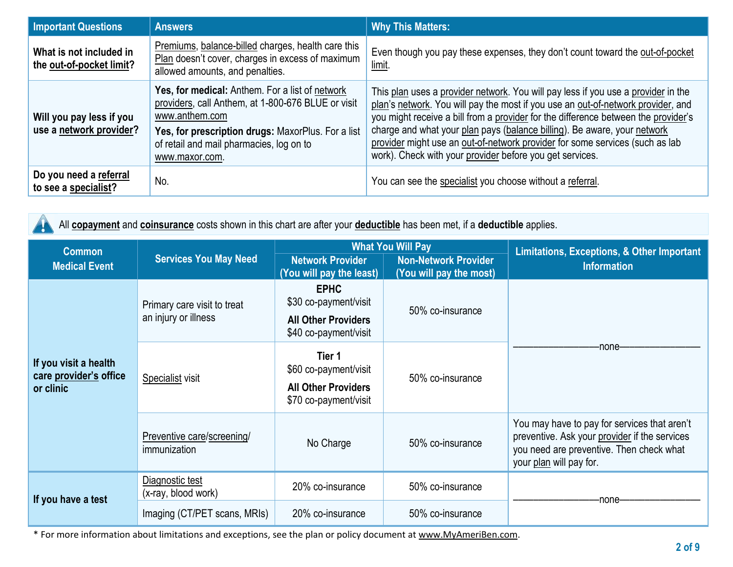| <b>Important Questions</b>                          | <b>Answers</b>                                                                                                                                                                                                                              | <b>Why This Matters:</b>                                                                                                                                                                                                                                                                                                                                                                                                                                                            |
|-----------------------------------------------------|---------------------------------------------------------------------------------------------------------------------------------------------------------------------------------------------------------------------------------------------|-------------------------------------------------------------------------------------------------------------------------------------------------------------------------------------------------------------------------------------------------------------------------------------------------------------------------------------------------------------------------------------------------------------------------------------------------------------------------------------|
| What is not included in<br>the out-of-pocket limit? | Premiums, balance-billed charges, health care this<br>Plan doesn't cover, charges in excess of maximum<br>allowed amounts, and penalties.                                                                                                   | Even though you pay these expenses, they don't count toward the out-of-pocket<br>limit.                                                                                                                                                                                                                                                                                                                                                                                             |
| Will you pay less if you<br>use a network provider? | Yes, for medical: Anthem. For a list of network<br>providers, call Anthem, at 1-800-676 BLUE or visit<br>www.anthem.com<br>Yes, for prescription drugs: MaxorPlus. For a list<br>of retail and mail pharmacies, log on to<br>www.maxor.com. | This plan uses a provider network. You will pay less if you use a provider in the<br>plan's network. You will pay the most if you use an out-of-network provider, and<br>you might receive a bill from a provider for the difference between the provider's<br>charge and what your plan pays (balance billing). Be aware, your network<br>provider might use an out-of-network provider for some services (such as lab<br>work). Check with your provider before you get services. |
| Do you need a referral<br>to see a specialist?      | No.                                                                                                                                                                                                                                         | You can see the specialist you choose without a referral.                                                                                                                                                                                                                                                                                                                                                                                                                           |

|  | All copayment and coinsurance costs shown in this chart are after your deductible has been met, if a deductible applies. |
|--|--------------------------------------------------------------------------------------------------------------------------|
|--|--------------------------------------------------------------------------------------------------------------------------|

| <b>Common</b>                                                |                                                     |                                                                                             | <b>What You Will Pay</b>                               | Limitations, Exceptions, & Other Important<br><b>Information</b>                                                                                                     |  |
|--------------------------------------------------------------|-----------------------------------------------------|---------------------------------------------------------------------------------------------|--------------------------------------------------------|----------------------------------------------------------------------------------------------------------------------------------------------------------------------|--|
| <b>Medical Event</b>                                         | <b>Services You May Need</b>                        | <b>Network Provider</b><br>(You will pay the least)                                         | <b>Non-Network Provider</b><br>(You will pay the most) |                                                                                                                                                                      |  |
| If you visit a health<br>care provider's office<br>or clinic | Primary care visit to treat<br>an injury or illness | <b>EPHC</b><br>\$30 co-payment/visit<br><b>All Other Providers</b><br>\$40 co-payment/visit | 50% co-insurance                                       |                                                                                                                                                                      |  |
|                                                              | Specialist visit                                    | Tier 1<br>\$60 co-payment/visit<br><b>All Other Providers</b><br>\$70 co-payment/visit      | 50% co-insurance                                       | -none-                                                                                                                                                               |  |
|                                                              | Preventive care/screening/<br>immunization          | No Charge                                                                                   | 50% co-insurance                                       | You may have to pay for services that aren't<br>preventive. Ask your provider if the services<br>you need are preventive. Then check what<br>your plan will pay for. |  |
| If you have a test                                           | Diagnostic test<br>(x-ray, blood work)              | 20% co-insurance                                                                            | 50% co-insurance                                       | -none                                                                                                                                                                |  |
|                                                              | Imaging (CT/PET scans, MRIs)                        | 20% co-insurance                                                                            | 50% co-insurance                                       |                                                                                                                                                                      |  |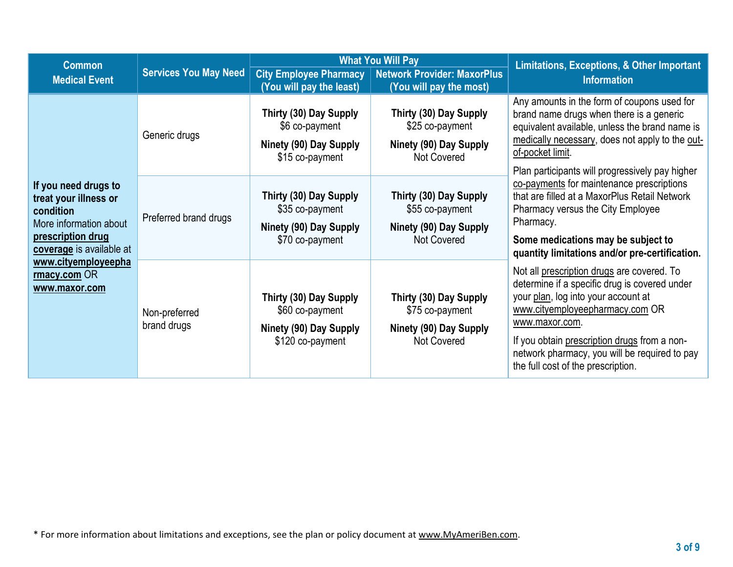| <b>Common</b>                                                                                                                         |                              |                                                                                                                                                                                    | <b>What You Will Pay</b>                                                                  | <b>Limitations, Exceptions, &amp; Other Important</b>                                                                                                                                                                                                                                                                          |  |
|---------------------------------------------------------------------------------------------------------------------------------------|------------------------------|------------------------------------------------------------------------------------------------------------------------------------------------------------------------------------|-------------------------------------------------------------------------------------------|--------------------------------------------------------------------------------------------------------------------------------------------------------------------------------------------------------------------------------------------------------------------------------------------------------------------------------|--|
| <b>Services You May Need</b><br><b>Medical Event</b>                                                                                  |                              | <b>City Employee Pharmacy</b><br>(You will pay the least)                                                                                                                          | <b>Network Provider: MaxorPlus</b><br>(You will pay the most)                             | <b>Information</b>                                                                                                                                                                                                                                                                                                             |  |
|                                                                                                                                       | Generic drugs                | Thirty (30) Day Supply<br>Thirty (30) Day Supply<br>\$25 co-payment<br>\$6 co-payment<br>Ninety (90) Day Supply<br>Ninety (90) Day Supply<br><b>Not Covered</b><br>\$15 co-payment |                                                                                           | Any amounts in the form of coupons used for<br>brand name drugs when there is a generic<br>equivalent available, unless the brand name is<br>medically necessary, does not apply to the out-<br>of-pocket limit.<br>Plan participants will progressively pay higher                                                            |  |
| If you need drugs to<br>treat your illness or<br>condition<br>More information about<br>prescription drug<br>coverage is available at | Preferred brand drugs        | Thirty (30) Day Supply<br>\$35 co-payment<br>Ninety (90) Day Supply<br>\$70 co-payment                                                                                             | Thirty (30) Day Supply<br>\$55 co-payment<br>Ninety (90) Day Supply<br><b>Not Covered</b> | co-payments for maintenance prescriptions<br>that are filled at a MaxorPlus Retail Network<br>Pharmacy versus the City Employee<br>Pharmacy.<br>Some medications may be subject to<br>quantity limitations and/or pre-certification.                                                                                           |  |
| www.cityemployeepha<br>rmacy.com OR<br>www.maxor.com                                                                                  | Non-preferred<br>brand drugs | Thirty (30) Day Supply<br>\$60 co-payment<br>Ninety (90) Day Supply<br>\$120 co-payment                                                                                            | Thirty (30) Day Supply<br>\$75 co-payment<br>Ninety (90) Day Supply<br><b>Not Covered</b> | Not all prescription drugs are covered. To<br>determine if a specific drug is covered under<br>your plan, log into your account at<br>www.cityemployeepharmacy.com OR<br>www.maxor.com.<br>If you obtain prescription drugs from a non-<br>network pharmacy, you will be required to pay<br>the full cost of the prescription. |  |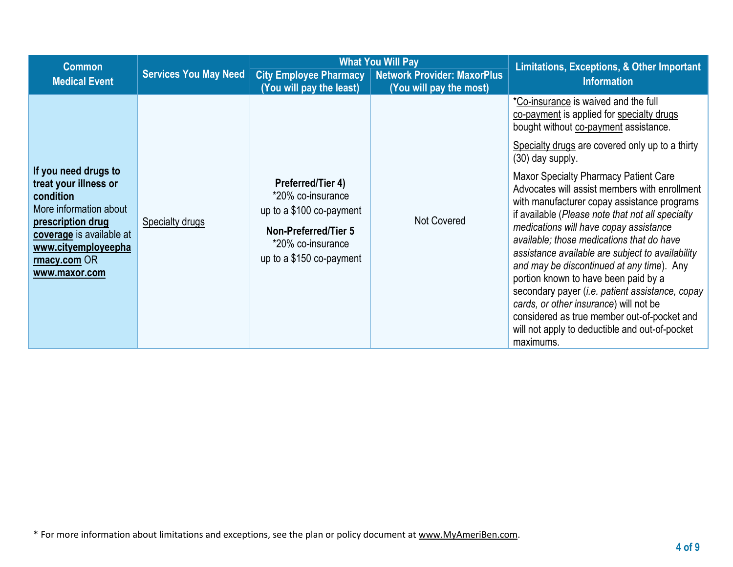| <b>Common</b>                                                                                                                                                                                 |                              |                                                                                                                                             | <b>What You Will Pay</b>                                                               | Limitations, Exceptions, & Other Important                                                                                                                                                                                                                                                                                                                                                                                                                                                                                                                                                                                                                                                                                                                                          |
|-----------------------------------------------------------------------------------------------------------------------------------------------------------------------------------------------|------------------------------|---------------------------------------------------------------------------------------------------------------------------------------------|----------------------------------------------------------------------------------------|-------------------------------------------------------------------------------------------------------------------------------------------------------------------------------------------------------------------------------------------------------------------------------------------------------------------------------------------------------------------------------------------------------------------------------------------------------------------------------------------------------------------------------------------------------------------------------------------------------------------------------------------------------------------------------------------------------------------------------------------------------------------------------------|
| <b>Medical Event</b>                                                                                                                                                                          | <b>Services You May Need</b> | (You will pay the least)                                                                                                                    | <b>City Employee Pharmacy   Network Provider: MaxorPlus</b><br>(You will pay the most) | <b>Information</b>                                                                                                                                                                                                                                                                                                                                                                                                                                                                                                                                                                                                                                                                                                                                                                  |
| If you need drugs to<br>treat your illness or<br>condition<br>More information about<br>prescription drug<br>coverage is available at<br>www.cityemployeepha<br>rmacy.com OR<br>www.maxor.com | <b>Specialty drugs</b>       | Preferred/Tier 4)<br>*20% co-insurance<br>up to a \$100 co-payment<br>Non-Preferred/Tier 5<br>*20% co-insurance<br>up to a \$150 co-payment | <b>Not Covered</b>                                                                     | *Co-insurance is waived and the full<br>co-payment is applied for specialty drugs<br>bought without co-payment assistance.<br>Specialty drugs are covered only up to a thirty<br>$(30)$ day supply.<br><b>Maxor Specialty Pharmacy Patient Care</b><br>Advocates will assist members with enrollment<br>with manufacturer copay assistance programs<br>if available (Please note that not all specialty<br>medications will have copay assistance<br>available; those medications that do have<br>assistance available are subject to availability<br>and may be discontinued at any time). Any<br>portion known to have been paid by a<br>secondary payer (i.e. patient assistance, copay<br>cards, or other insurance) will not be<br>considered as true member out-of-pocket and |
|                                                                                                                                                                                               |                              |                                                                                                                                             |                                                                                        | will not apply to deductible and out-of-pocket<br>maximums.                                                                                                                                                                                                                                                                                                                                                                                                                                                                                                                                                                                                                                                                                                                         |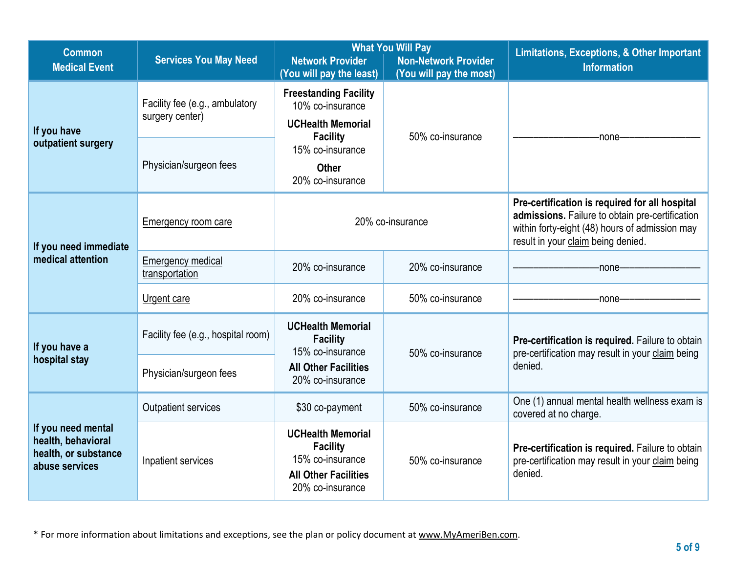| <b>Common</b>                                                                      |                                                   |                                                                                                                    | <b>What You Will Pay</b>                               | <b>Limitations, Exceptions, &amp; Other Important</b>                                                                                                                                     |  |
|------------------------------------------------------------------------------------|---------------------------------------------------|--------------------------------------------------------------------------------------------------------------------|--------------------------------------------------------|-------------------------------------------------------------------------------------------------------------------------------------------------------------------------------------------|--|
| <b>Medical Event</b>                                                               | <b>Services You May Need</b>                      | <b>Network Provider</b><br>(You will pay the least)                                                                | <b>Non-Network Provider</b><br>(You will pay the most) | <b>Information</b>                                                                                                                                                                        |  |
| If you have                                                                        | Facility fee (e.g., ambulatory<br>surgery center) | <b>Freestanding Facility</b><br>10% co-insurance<br><b>UCHealth Memorial</b>                                       | 50% co-insurance                                       | -none-                                                                                                                                                                                    |  |
| outpatient surgery                                                                 | Physician/surgeon fees                            | <b>Facility</b><br>15% co-insurance<br><b>Other</b><br>20% co-insurance                                            |                                                        |                                                                                                                                                                                           |  |
| If you need immediate                                                              | Emergency room care                               | 20% co-insurance                                                                                                   |                                                        | Pre-certification is required for all hospital<br>admissions. Failure to obtain pre-certification<br>within forty-eight (48) hours of admission may<br>result in your claim being denied. |  |
| medical attention                                                                  | <b>Emergency medical</b><br>transportation        | 20% co-insurance                                                                                                   | 20% co-insurance                                       | -none-                                                                                                                                                                                    |  |
|                                                                                    | Urgent care                                       | 20% co-insurance                                                                                                   | 50% co-insurance                                       | none                                                                                                                                                                                      |  |
| If you have a                                                                      | Facility fee (e.g., hospital room)                | <b>UCHealth Memorial</b><br><b>Facility</b><br>15% co-insurance                                                    | 50% co-insurance                                       | Pre-certification is required. Failure to obtain<br>pre-certification may result in your claim being                                                                                      |  |
| hospital stay                                                                      | Physician/surgeon fees                            | <b>All Other Facilities</b><br>20% co-insurance                                                                    |                                                        | denied.                                                                                                                                                                                   |  |
|                                                                                    | <b>Outpatient services</b>                        | \$30 co-payment                                                                                                    | 50% co-insurance                                       | One (1) annual mental health wellness exam is<br>covered at no charge.                                                                                                                    |  |
| If you need mental<br>health, behavioral<br>health, or substance<br>abuse services | Inpatient services                                | <b>UCHealth Memorial</b><br><b>Facility</b><br>15% co-insurance<br><b>All Other Facilities</b><br>20% co-insurance | 50% co-insurance                                       | Pre-certification is required. Failure to obtain<br>pre-certification may result in your claim being<br>denied.                                                                           |  |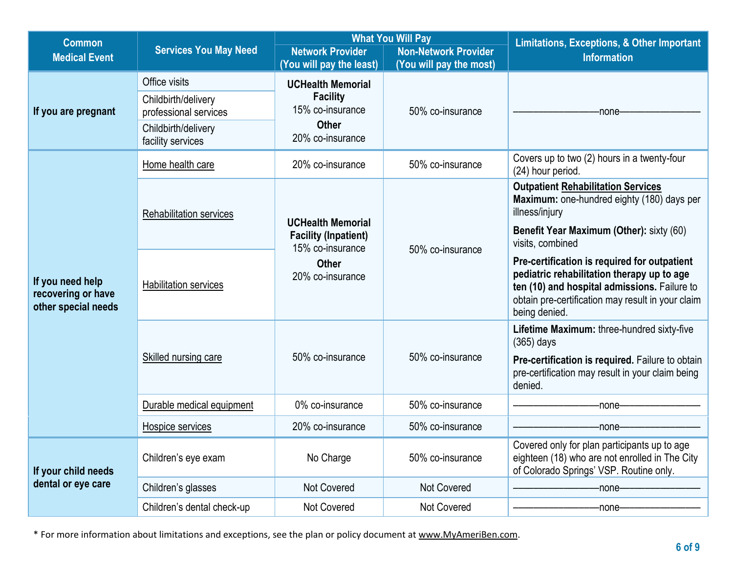| <b>Common</b>                                                 |                                                                                                           |                                                                                                     | <b>What You Will Pay</b>                               | <b>Limitations, Exceptions, &amp; Other Important</b>                                                                                                                                                            |  |
|---------------------------------------------------------------|-----------------------------------------------------------------------------------------------------------|-----------------------------------------------------------------------------------------------------|--------------------------------------------------------|------------------------------------------------------------------------------------------------------------------------------------------------------------------------------------------------------------------|--|
| <b>Medical Event</b>                                          | <b>Services You May Need</b>                                                                              | <b>Network Provider</b><br>(You will pay the least)                                                 | <b>Non-Network Provider</b><br>(You will pay the most) | <b>Information</b>                                                                                                                                                                                               |  |
| If you are pregnant                                           | Office visits<br>Childbirth/delivery<br>professional services<br>Childbirth/delivery<br>facility services | <b>UCHealth Memorial</b><br><b>Facility</b><br>15% co-insurance<br><b>Other</b><br>20% co-insurance | 50% co-insurance                                       | -none-                                                                                                                                                                                                           |  |
|                                                               | Home health care                                                                                          | 20% co-insurance                                                                                    | 50% co-insurance                                       | Covers up to two (2) hours in a twenty-four<br>(24) hour period.                                                                                                                                                 |  |
|                                                               | Rehabilitation services                                                                                   | <b>UCHealth Memorial</b><br><b>Facility (Inpatient)</b>                                             | 50% co-insurance                                       | <b>Outpatient Rehabilitation Services</b><br>Maximum: one-hundred eighty (180) days per<br>illness/injury<br>Benefit Year Maximum (Other): sixty (60)<br>visits, combined                                        |  |
| If you need help<br>recovering or have<br>other special needs | <b>Habilitation services</b>                                                                              | 15% co-insurance<br><b>Other</b><br>20% co-insurance                                                |                                                        | Pre-certification is required for outpatient<br>pediatric rehabilitation therapy up to age<br>ten (10) and hospital admissions. Failure to<br>obtain pre-certification may result in your claim<br>being denied. |  |
|                                                               | Skilled nursing care                                                                                      | 50% co-insurance                                                                                    | 50% co-insurance                                       | Lifetime Maximum: three-hundred sixty-five<br>$(365)$ days<br>Pre-certification is required. Failure to obtain<br>pre-certification may result in your claim being<br>denied.                                    |  |
|                                                               | Durable medical equipment                                                                                 | 0% co-insurance                                                                                     | 50% co-insurance                                       | -none-                                                                                                                                                                                                           |  |
|                                                               | Hospice services                                                                                          | 20% co-insurance                                                                                    | 50% co-insurance                                       | -none·                                                                                                                                                                                                           |  |
| If your child needs                                           | Children's eye exam                                                                                       | No Charge                                                                                           | 50% co-insurance                                       | Covered only for plan participants up to age<br>eighteen (18) who are not enrolled in The City<br>of Colorado Springs' VSP. Routine only.                                                                        |  |
| dental or eye care                                            | Children's glasses                                                                                        | <b>Not Covered</b>                                                                                  | Not Covered                                            | -none-                                                                                                                                                                                                           |  |
|                                                               | Children's dental check-up                                                                                | Not Covered                                                                                         | Not Covered                                            | -none-                                                                                                                                                                                                           |  |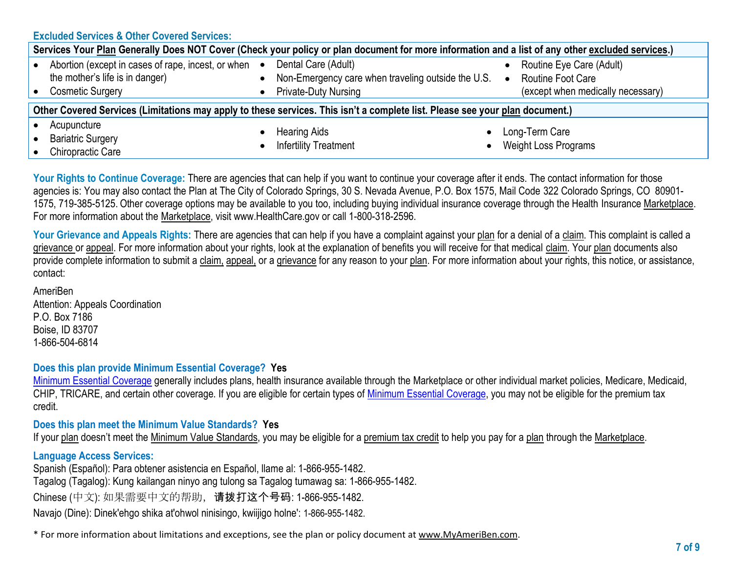**Excluded Services & Other Covered Services:**

| Services Your Plan Generally Does NOT Cover (Check your policy or plan document for more information and a list of any other excluded services.) |  |                                                                                                                              |  |                                                               |  |  |
|--------------------------------------------------------------------------------------------------------------------------------------------------|--|------------------------------------------------------------------------------------------------------------------------------|--|---------------------------------------------------------------|--|--|
| Abortion (except in cases of rape, incest, or when $\bullet$<br>the mother's life is in danger)<br><b>Cosmetic Surgery</b>                       |  | Dental Care (Adult)<br>Non-Emergency care when traveling outside the U.S. • Routine Foot Care<br><b>Private-Duty Nursing</b> |  | Routine Eye Care (Adult)<br>(except when medically necessary) |  |  |
| Other Covered Services (Limitations may apply to these services. This isn't a complete list. Please see your plan document.)                     |  |                                                                                                                              |  |                                                               |  |  |
| Acupuncture<br><b>Bariatric Surgery</b><br>Chiropractic Care                                                                                     |  | <b>Hearing Aids</b><br><b>Infertility Treatment</b>                                                                          |  | Long-Term Care<br><b>Weight Loss Programs</b>                 |  |  |

Your Rights to Continue Coverage: There are agencies that can help if you want to continue your coverage after it ends. The contact information for those agencies is: You may also contact the Plan at The City of Colorado Springs, 30 S. Nevada Avenue, P.O. Box 1575, Mail Code 322 Colorado Springs, CO 80901- 1575, 719-385-5125. Other coverage options may be available to you too, including buying individual insurance coverage through the Health Insurance [Marketplace.](https://www.healthcare.gov/sbc-glossary/#marketplace) For more information about the [Marketplace,](https://www.healthcare.gov/sbc-glossary/#marketplace) visit www.HealthCare.gov or call 1-800-318-2596.

Your Grievance and Appeals Rights: There are agencies that can help if you have a complaint against you[r plan](https://www.healthcare.gov/sbc-glossary/#plan) for a denial of a [claim.](https://www.healthcare.gov/sbc-glossary/#claim) This complaint is called a [grievance](https://www.healthcare.gov/sbc-glossary/#grievance) or [appeal.](https://www.healthcare.gov/sbc-glossary/#appeal) For more information about your rights, look at the explanation of benefits you will receive for that medical [claim.](https://www.healthcare.gov/sbc-glossary/#claim) You[r plan](https://www.healthcare.gov/sbc-glossary/#plan) documents also provide complete information to submit a [claim,](https://www.healthcare.gov/sbc-glossary/#claim) [appeal,](https://www.healthcare.gov/sbc-glossary/#appeal) or a [grievance](https://www.healthcare.gov/sbc-glossary/#grievance) for any reason to your [plan.](https://www.healthcare.gov/sbc-glossary/#plan) For more information about your rights, this notice, or assistance, contact:

AmeriBen Attention: Appeals Coordination P.O. Box 7186 Boise, ID 83707 1-866-504-6814

**Does this plan provide Minimum Essential Coverage? Yes**

Minimum Essential Coverage generally includes plans, health insurance available through the Marketplace or other individual market policies, Medicare, Medicaid, CHIP, TRICARE, and certain other coverage. If you are eligible for certain types of Minimum Essential Coverage, you may not be eligible for the premium tax credit.

## **Does this plan meet the Minimum Value Standards? Yes**

If your [plan](https://www.healthcare.gov/sbc-glossary/#plan) doesn't meet the [Minimum Value Standards,](https://www.healthcare.gov/sbc-glossary/#minimum-value-standard) you may be eligible for a [premium tax credit](https://www.healthcare.gov/sbc-glossary/#premium-tax-credits) to help you pay for a [plan](https://www.healthcare.gov/sbc-glossary/#plan) through the [Marketplace.](https://www.healthcare.gov/sbc-glossary/#marketplace)

## **Language Access Services:**

Spanish (Español): Para obtener asistencia en Español, llame al: 1-866-955-1482.

Tagalog (Tagalog): Kung kailangan ninyo ang tulong sa Tagalog tumawag sa: 1-866-955-1482.

Chinese (中文): 如果需要中文的帮助, 请拨打这个号码: 1-866-955-1482.

Navajo (Dine): Dinek'ehgo shika at'ohwol ninisingo, kwiijigo holne': 1-866-955-1482.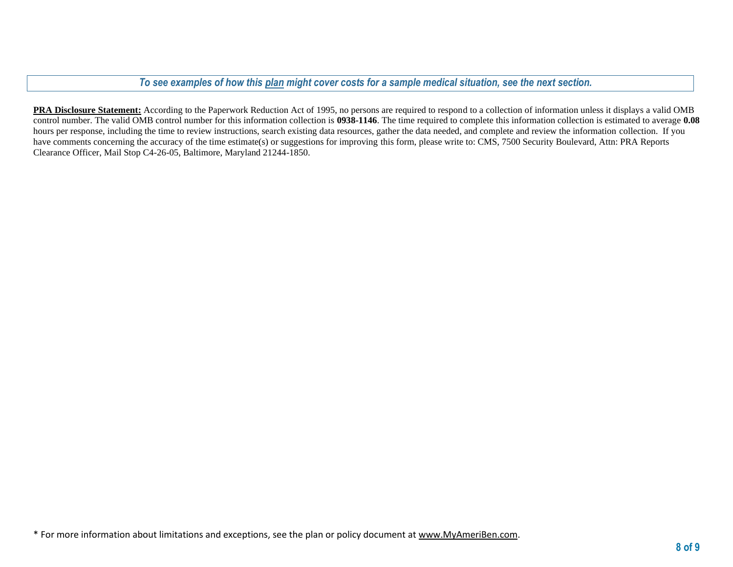*To see examples of how this plan might cover costs for a sample medical situation, see the next section.*

**PRA Disclosure Statement:** According to the Paperwork Reduction Act of 1995, no persons are required to respond to a collection of information unless it displays a valid OMB control number. The valid OMB control number for this information collection is **0938-1146**. The time required to complete this information collection is estimated to average **0.08** hours per response, including the time to review instructions, search existing data resources, gather the data needed, and complete and review the information collection. If you have comments concerning the accuracy of the time estimate(s) or suggestions for improving this form, please write to: CMS, 7500 Security Boulevard, Attn: PRA Reports Clearance Officer, Mail Stop C4-26-05, Baltimore, Maryland 21244-1850.